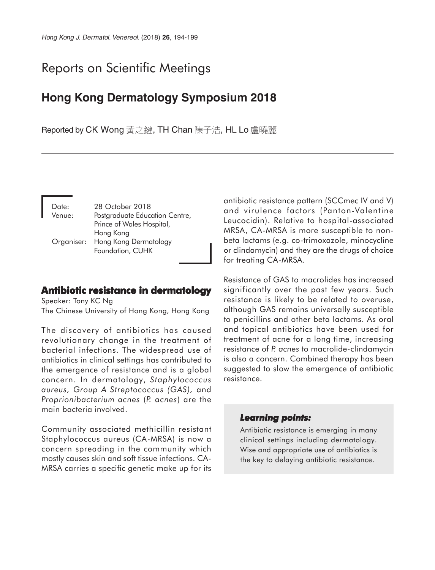# Reports on Scientific Meetings

## **Hong Kong Dermatology Symposium 2018**

Reported by CK Wong 黃之鍵, TH Chan 陳子浩, HL Lo 盧曉麗

| Date:      | 28 October 2018                |
|------------|--------------------------------|
| Venue:     | Postgraduate Education Centre, |
|            | Prince of Wales Hospital,      |
|            | Hong Kong                      |
| Organiser: | Hong Kong Dermatology          |
|            | Foundation, CUHK               |

## **Antibiotic resistance in dermatology**

Speaker: Tony KC Ng The Chinese University of Hong Kong, Hong Kong

The discovery of antibiotics has caused revolutionary change in the treatment of bacterial infections. The widespread use of antibiotics in clinical settings has contributed to the emergence of resistance and is a global concern. In dermatology, *Staphylococcus aureus, Group A Streptococcus (GAS),* and *Proprionibacterium acnes* (*P. acnes*) are the main bacteria involved.

Community associated methicillin resistant Staphylococcus aureus (CA-MRSA) is now a concern spreading in the community which mostly causes skin and soft tissue infections. CA-MRSA carries a specific genetic make up for its antibiotic resistance pattern (SCCmec IV and V) and virulence factors (Panton-Valentine Leucocidin). Relative to hospital-associated MRSA, CA-MRSA is more susceptible to nonbeta lactams (e.g. co-trimoxazole, minocycline or clindamycin) and they are the drugs of choice for treating CA-MRSA.

Resistance of GAS to macrolides has increased significantly over the past few years. Such resistance is likely to be related to overuse, although GAS remains universally susceptible to penicillins and other beta lactams. As oral and topical antibiotics have been used for treatment of acne for a long time, increasing resistance of *P. acnes* to macrolide-clindamycin is also a concern. Combined therapy has been suggested to slow the emergence of antibiotic resistance.

#### *Learning points: Learning points:*

Antibiotic resistance is emerging in many clinical settings including dermatology. Wise and appropriate use of antibiotics is the key to delaying antibiotic resistance.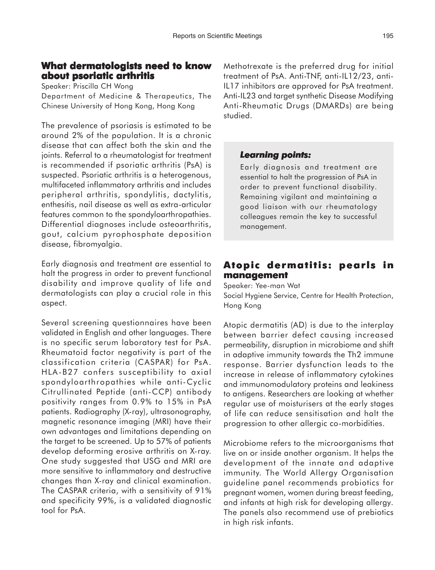### **What dermatologists need to know about psoriatic arthritis**

Speaker: Priscilla CH Wong

Department of Medicine & Therapeutics, The Chinese University of Hong Kong, Hong Kong

The prevalence of psoriasis is estimated to be around 2% of the population. It is a chronic disease that can affect both the skin and the joints. Referral to a rheumatologist for treatment is recommended if psoriatic arthritis (PsA) is suspected. Psoriatic arthritis is a heterogenous, multifaceted inflammatory arthritis and includes peripheral arthritis, spondylitis, dactylitis, enthesitis, nail disease as well as extra-articular features common to the spondyloarthropathies. Differential diagnoses include osteoarthritis, gout, calcium pyrophosphate deposition disease, fibromyalgia.

Early diagnosis and treatment are essential to halt the progress in order to prevent functional disability and improve quality of life and dermatologists can play a crucial role in this aspect.

Several screening questionnaires have been validated in English and other languages. There is no specific serum laboratory test for PsA. Rheumatoid factor negativity is part of the classification criteria (CASPAR) for PsA. HLA-B27 confers susceptibility to axial spondyloarthropathies while anti-Cyclic Citrullinated Peptide (anti-CCP) antibody positivity ranges from 0.9% to 15% in PsA patients. Radiography (X-ray), ultrasonography, magnetic resonance imaging (MRI) have their own advantages and limitations depending on the target to be screened. Up to 57% of patients develop deforming erosive arthritis on X-ray. One study suggested that USG and MRI are more sensitive to inflammatory and destructive changes than X-ray and clinical examination. The CASPAR criteria, with a sensitivity of 91% and specificity 99%, is a validated diagnostic tool for PsA.

Methotrexate is the preferred drug for initial treatment of PsA. Anti-TNF, anti-IL12/23, anti-IL17 inhibitors are approved for PsA treatment. Anti-IL23 and target synthetic Disease Modifying Anti-Rheumatic Drugs (DMARDs) are being studied.

#### *Learning points: Learning points:*

Early diagnosis and treatment are essential to halt the progression of PsA in order to prevent functional disability. Remaining vigilant and maintaining a good liaison with our rheumatology colleagues remain the key to successful management.

## **Atopic dermatitis: pearls in management**

Speaker: Yee-man Wat Social Hygiene Service, Centre for Health Protection, Hong Kong

Atopic dermatitis (AD) is due to the interplay between barrier defect causing increased permeability, disruption in microbiome and shift in adaptive immunity towards the Th2 immune response. Barrier dysfunction leads to the increase in release of inflammatory cytokines and immunomodulatory proteins and leakiness to antigens. Researchers are looking at whether regular use of moisturisers at the early stages of life can reduce sensitisation and halt the progression to other allergic co-morbidities.

Microbiome refers to the microorganisms that live on or inside another organism. It helps the development of the innate and adaptive immunity. The World Allergy Organisation guideline panel recommends probiotics for pregnant women, women during breast feeding, and infants at high risk for developing allergy. The panels also recommend use of prebiotics in high risk infants.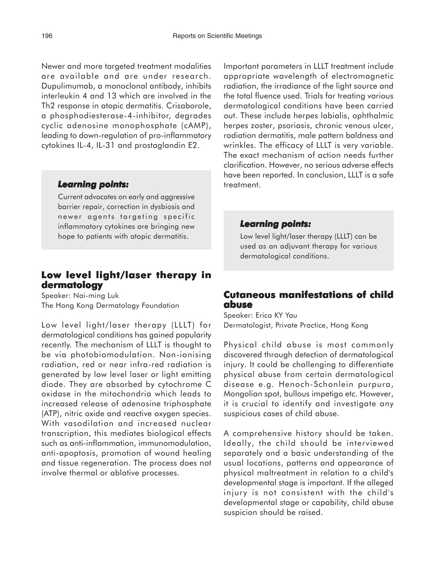Newer and more targeted treatment modalities are available and are under research. Dupulimumab, a monoclonal antibody, inhibits interleukin 4 and 13 which are involved in the Th2 response in atopic dermatitis. Crisaborole, a phosphodiesterase-4-inhibitor, degrades cyclic adenosine monophosphate (cAMP), leading to down-regulation of pro-inflammatory cytokines IL-4, IL-31 and prostaglandin E2.

#### *Learning points: Learning*

Current advocates on early and aggressive barrier repair, correction in dysbiosis and newer agents targeting specific inflammatory cytokines are bringing new hope to patients with atopic dermatitis.

## **Low level light/laser therapy in dermatology**

Speaker: Nai-ming Luk The Hong Kong Dermatology Foundation

Low level light/laser therapy (LLLT) for dermatological conditions has gained popularity recently. The mechanism of LLLT is thought to be via photobiomodulation. Non-ionising radiation, red or near infra-red radiation is generated by low level laser or light emitting diode. They are absorbed by cytochrome C oxidase in the mitochondria which leads to increased release of adenosine triphosphate (ATP), nitric oxide and reactive oxygen species. With vasodilation and increased nuclear transcription, this mediates biological effects such as anti-inflammation, immunomodulation, anti-apoptosis, promotion of wound healing and tissue regeneration. The process does not involve thermal or ablative processes.

Important parameters in LLLT treatment include appropriate wavelength of electromagnetic radiation, the irradiance of the light source and the total fluence used. Trials for treating various dermatological conditions have been carried out. These include herpes labialis, ophthalmic herpes zoster, psoriasis, chronic venous ulcer, radiation dermatitis, male pattern baldness and wrinkles. The efficacy of LLLT is very variable. The exact mechanism of action needs further clarification. However, no serious adverse effects have been reported. In conclusion, LLLT is a safe treatment.

#### *Learning points: Learning points:*

Low level light/laser therapy (LLLT) can be used as an adjuvant therapy for various dermatological conditions.

## **Cutaneous manifestations of child abuse**

Speaker: Erica KY Yau Dermatologist, Private Practice, Hong Kong

Physical child abuse is most commonly discovered through detection of dermatological injury. It could be challenging to differentiate physical abuse from certain dermatological disease e.g. Henoch-Schonlein purpura, Mongolian spot, bullous impetigo etc. However, it is crucial to identify and investigate any suspicious cases of child abuse.

A comprehensive history should be taken. Ideally, the child should be interviewed separately and a basic understanding of the usual locations, patterns and appearance of physical maltreatment in relation to a child's developmental stage is important. If the alleged injury is not consistent with the child's developmental stage or capability, child abuse suspicion should be raised.